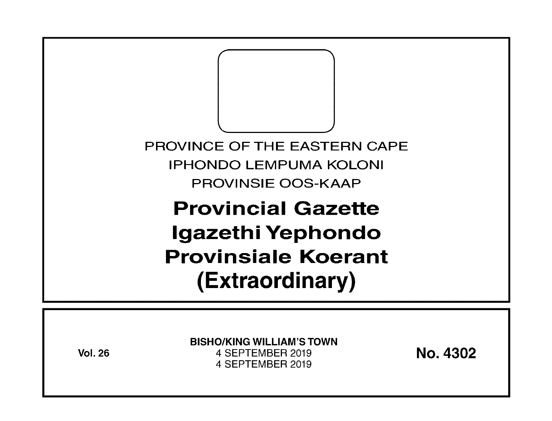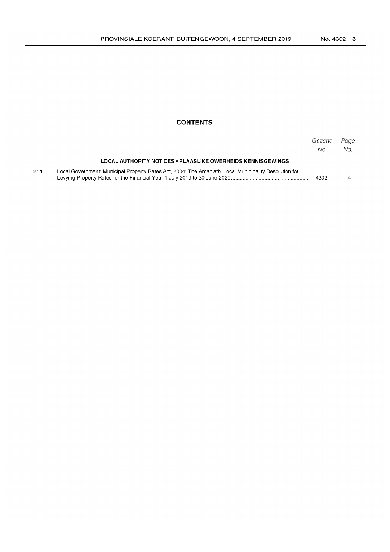#### **CONTENTS**

|     |                                                                                                       | Gazette<br>No. | Page<br>No. |
|-----|-------------------------------------------------------------------------------------------------------|----------------|-------------|
|     | LOCAL AUTHORITY NOTICES • PLAASLIKE OWERHEIDS KENNISGEWINGS                                           |                |             |
| 214 | Local Government: Municipal Property Rates Act, 2004; The Amahlathi Local Municipality Resolution for | 4302           |             |